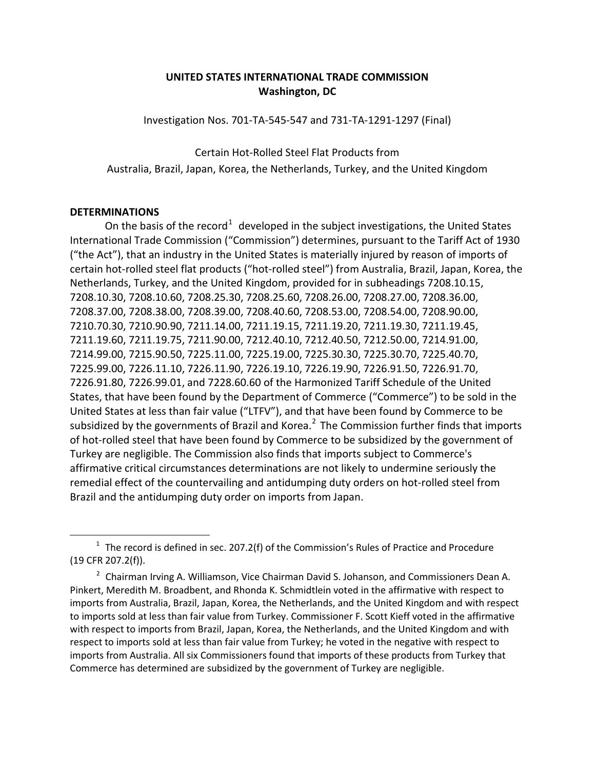## **UNITED STATES INTERNATIONAL TRADE COMMISSION Washington, DC**

Investigation Nos. 701-TA-545-547 and 731-TA-1291-1297 (Final)

Certain Hot-Rolled Steel Flat Products from Australia, Brazil, Japan, Korea, the Netherlands, Turkey, and the United Kingdom

## **DETERMINATIONS**

 $\overline{a}$ 

On the basis of the record<sup>[1](#page-0-0)</sup> developed in the subject investigations, the United States International Trade Commission ("Commission") determines, pursuant to the Tariff Act of 1930 ("the Act"), that an industry in the United States is materially injured by reason of imports of certain hot-rolled steel flat products ("hot-rolled steel") from Australia, Brazil, Japan, Korea, the Netherlands, Turkey, and the United Kingdom, provided for in subheadings 7208.10.15, 7208.10.30, 7208.10.60, 7208.25.30, 7208.25.60, 7208.26.00, 7208.27.00, 7208.36.00, 7208.37.00, 7208.38.00, 7208.39.00, 7208.40.60, 7208.53.00, 7208.54.00, 7208.90.00, 7210.70.30, 7210.90.90, 7211.14.00, 7211.19.15, 7211.19.20, 7211.19.30, 7211.19.45, 7211.19.60, 7211.19.75, 7211.90.00, 7212.40.10, 7212.40.50, 7212.50.00, 7214.91.00, 7214.99.00, 7215.90.50, 7225.11.00, 7225.19.00, 7225.30.30, 7225.30.70, 7225.40.70, 7225.99.00, 7226.11.10, 7226.11.90, 7226.19.10, 7226.19.90, 7226.91.50, 7226.91.70, 7226.91.80, 7226.99.01, and 7228.60.60 of the Harmonized Tariff Schedule of the United States, that have been found by the Department of Commerce ("Commerce") to be sold in the United States at less than fair value ("LTFV"), and that have been found by Commerce to be subsidized by the governments of Brazil and Korea.<sup>[2](#page-0-1)</sup> The Commission further finds that imports of hot-rolled steel that have been found by Commerce to be subsidized by the government of Turkey are negligible. The Commission also finds that imports subject to Commerce's affirmative critical circumstances determinations are not likely to undermine seriously the remedial effect of the countervailing and antidumping duty orders on hot-rolled steel from Brazil and the antidumping duty order on imports from Japan.

<span id="page-0-0"></span> $1$  The record is defined in sec. 207.2(f) of the Commission's Rules of Practice and Procedure (19 CFR 207.2(f)).

<span id="page-0-1"></span><sup>&</sup>lt;sup>2</sup> Chairman Irving A. Williamson, Vice Chairman David S. Johanson, and Commissioners Dean A. Pinkert, Meredith M. Broadbent, and Rhonda K. Schmidtlein voted in the affirmative with respect to imports from Australia, Brazil, Japan, Korea, the Netherlands, and the United Kingdom and with respect to imports sold at less than fair value from Turkey. Commissioner F. Scott Kieff voted in the affirmative with respect to imports from Brazil, Japan, Korea, the Netherlands, and the United Kingdom and with respect to imports sold at less than fair value from Turkey; he voted in the negative with respect to imports from Australia. All six Commissioners found that imports of these products from Turkey that Commerce has determined are subsidized by the government of Turkey are negligible.